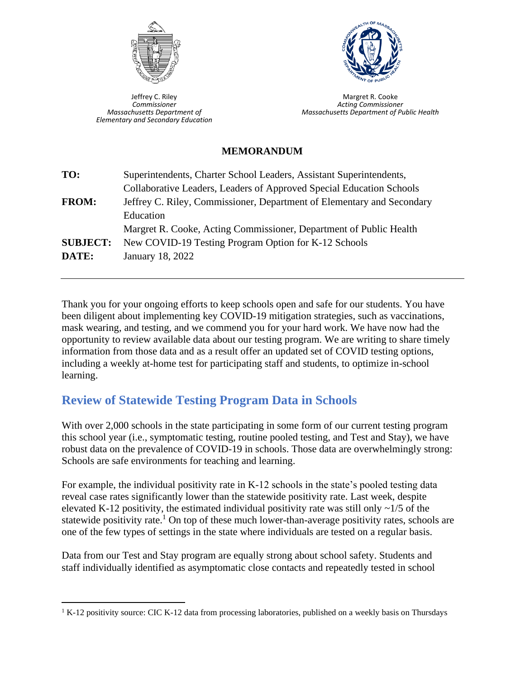

Jeffrey C. Riley *Commissioner Massachusetts Department of Elementary and Secondary Education*



Margret R. Cooke *Acting Commissioner Massachusetts Department of Public Health*

#### **MEMORANDUM**

| TO:             | Superintendents, Charter School Leaders, Assistant Superintendents,    |  |
|-----------------|------------------------------------------------------------------------|--|
|                 | Collaborative Leaders, Leaders of Approved Special Education Schools   |  |
| <b>FROM:</b>    | Jeffrey C. Riley, Commissioner, Department of Elementary and Secondary |  |
|                 | Education                                                              |  |
|                 | Margret R. Cooke, Acting Commissioner, Department of Public Health     |  |
| <b>SUBJECT:</b> | New COVID-19 Testing Program Option for K-12 Schools                   |  |
| DATE:           | January 18, 2022                                                       |  |
|                 |                                                                        |  |

Thank you for your ongoing efforts to keep schools open and safe for our students. You have been diligent about implementing key COVID-19 mitigation strategies, such as vaccinations, mask wearing, and testing, and we commend you for your hard work. We have now had the opportunity to review available data about our testing program. We are writing to share timely information from those data and as a result offer an updated set of COVID testing options, including a weekly at-home test for participating staff and students, to optimize in-school learning.

# **Review of Statewide Testing Program Data in Schools**

With over 2,000 schools in the state participating in some form of our current testing program this school year (i.e., symptomatic testing, routine pooled testing, and Test and Stay), we have robust data on the prevalence of COVID-19 in schools. Those data are overwhelmingly strong: Schools are safe environments for teaching and learning.

For example, the individual positivity rate in K-12 schools in the state's pooled testing data reveal case rates significantly lower than the statewide positivity rate. Last week, despite elevated K-12 positivity, the estimated individual positivity rate was still only  $\sim$ 1/5 of the statewide positivity rate.<sup>1</sup> On top of these much lower-than-average positivity rates, schools are one of the few types of settings in the state where individuals are tested on a regular basis.

Data from our Test and Stay program are equally strong about school safety. Students and staff individually identified as asymptomatic close contacts and repeatedly tested in school

<sup>&</sup>lt;sup>1</sup> K-12 positivity source: CIC K-12 data from processing laboratories, published on a weekly basis on Thursdays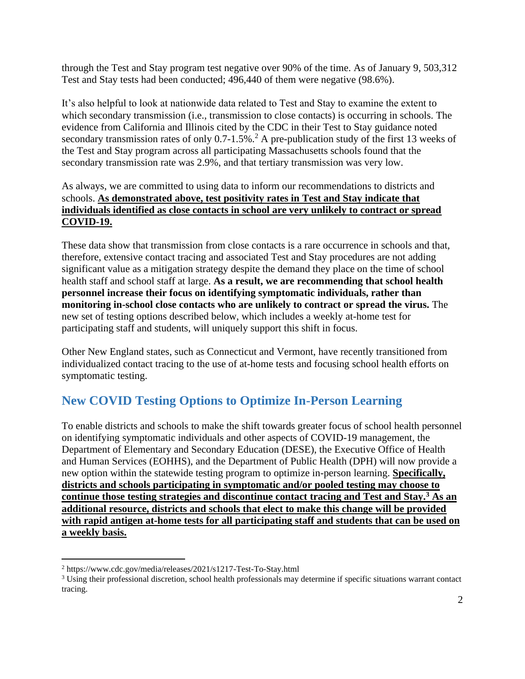through the Test and Stay program test negative over 90% of the time. As of January 9, 503,312 Test and Stay tests had been conducted; 496,440 of them were negative (98.6%).

It's also helpful to look at nationwide data related to Test and Stay to examine the extent to which secondary transmission (i.e., transmission to close contacts) is occurring in schools. The evidence from California and Illinois cited by the CDC in their Test to Stay guidance noted secondary transmission rates of only  $0.7$ -1.5%.<sup>2</sup> A pre-publication study of the first 13 weeks of the Test and Stay program across all participating Massachusetts schools found that the secondary transmission rate was 2.9%, and that tertiary transmission was very low.

#### As always, we are committed to using data to inform our recommendations to districts and schools. **As demonstrated above, test positivity rates in Test and Stay indicate that individuals identified as close contacts in school are very unlikely to contract or spread COVID-19.**

These data show that transmission from close contacts is a rare occurrence in schools and that, therefore, extensive contact tracing and associated Test and Stay procedures are not adding significant value as a mitigation strategy despite the demand they place on the time of school health staff and school staff at large. **As a result, we are recommending that school health personnel increase their focus on identifying symptomatic individuals, rather than monitoring in-school close contacts who are unlikely to contract or spread the virus.** The new set of testing options described below, which includes a weekly at-home test for participating staff and students, will uniquely support this shift in focus.

Other New England states, such as Connecticut and Vermont, have recently transitioned from individualized contact tracing to the use of at-home tests and focusing school health efforts on symptomatic testing.

# **New COVID Testing Options to Optimize In-Person Learning**

To enable districts and schools to make the shift towards greater focus of school health personnel on identifying symptomatic individuals and other aspects of COVID-19 management, the Department of Elementary and Secondary Education (DESE), the Executive Office of Health and Human Services (EOHHS), and the Department of Public Health (DPH) will now provide a new option within the statewide testing program to optimize in-person learning. **Specifically, districts and schools participating in symptomatic and/or pooled testing may choose to continue those testing strategies and discontinue contact tracing and Test and Stay.<sup>3</sup> As an additional resource, districts and schools that elect to make this change will be provided with rapid antigen at-home tests for all participating staff and students that can be used on a weekly basis.**

<sup>2</sup> https://www.cdc.gov/media/releases/2021/s1217-Test-To-Stay.html

<sup>&</sup>lt;sup>3</sup> Using their professional discretion, school health professionals may determine if specific situations warrant contact tracing.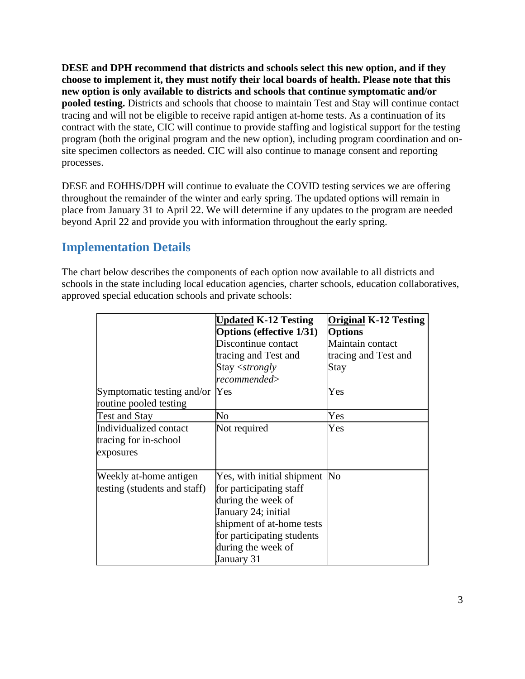**DESE and DPH recommend that districts and schools select this new option, and if they choose to implement it, they must notify their local boards of health. Please note that this new option is only available to districts and schools that continue symptomatic and/or pooled testing.** Districts and schools that choose to maintain Test and Stay will continue contact tracing and will not be eligible to receive rapid antigen at-home tests. As a continuation of its contract with the state, CIC will continue to provide staffing and logistical support for the testing program (both the original program and the new option), including program coordination and onsite specimen collectors as needed. CIC will also continue to manage consent and reporting processes.

DESE and EOHHS/DPH will continue to evaluate the COVID testing services we are offering throughout the remainder of the winter and early spring. The updated options will remain in place from January 31 to April 22. We will determine if any updates to the program are needed beyond April 22 and provide you with information throughout the early spring.

## **Implementation Details**

The chart below describes the components of each option now available to all districts and schools in the state including local education agencies, charter schools, education collaboratives, approved special education schools and private schools:

|                                                              | <b>Updated K-12 Testing</b><br><b>Options (effective 1/31)</b>                                                                                                                                       | <b>Original K-12 Testing</b><br><b>Options</b> |
|--------------------------------------------------------------|------------------------------------------------------------------------------------------------------------------------------------------------------------------------------------------------------|------------------------------------------------|
|                                                              | Discontinue contact                                                                                                                                                                                  | Maintain contact                               |
|                                                              | tracing and Test and<br>Stay <strongly<br>recommended&gt;</strongly<br>                                                                                                                              | tracing and Test and<br>Stay                   |
| Symptomatic testing and/or Yes<br>routine pooled testing     |                                                                                                                                                                                                      | Yes                                            |
| <b>Test and Stay</b>                                         | No                                                                                                                                                                                                   | Yes                                            |
| Individualized contact<br>tracing for in-school<br>exposures | Not required                                                                                                                                                                                         | Yes                                            |
| Weekly at-home antigen<br>testing (students and staff)       | Yes, with initial shipment No<br>for participating staff<br>during the week of<br>January 24; initial<br>shipment of at-home tests<br>for participating students<br>during the week of<br>January 31 |                                                |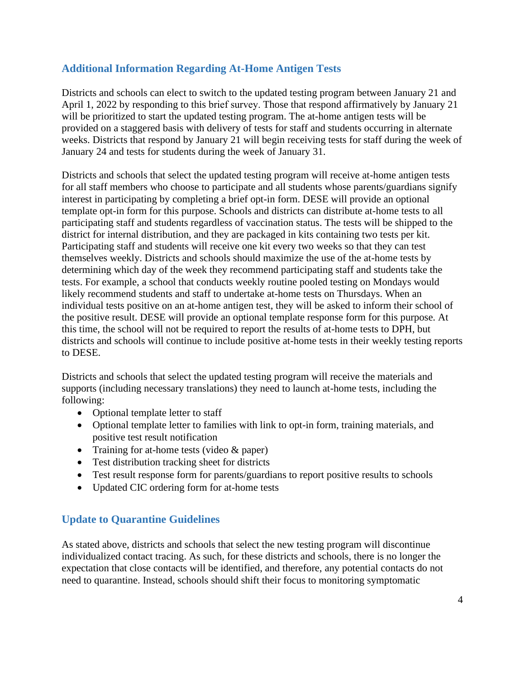### **Additional Information Regarding At-Home Antigen Tests**

Districts and schools can elect to switch to the updated testing program between January 21 and April 1, 2022 by responding to this brief survey. Those that respond affirmatively by January 21 will be prioritized to start the updated testing program. The at-home antigen tests will be provided on a staggered basis with delivery of tests for staff and students occurring in alternate weeks. Districts that respond by January 21 will begin receiving tests for staff during the week of January 24 and tests for students during the week of January 31.

Districts and schools that select the updated testing program will receive at-home antigen tests for all staff members who choose to participate and all students whose parents/guardians signify interest in participating by completing a brief opt-in form. DESE will provide an optional template opt-in form for this purpose. Schools and districts can distribute at-home tests to all participating staff and students regardless of vaccination status. The tests will be shipped to the district for internal distribution, and they are packaged in kits containing two tests per kit. Participating staff and students will receive one kit every two weeks so that they can test themselves weekly. Districts and schools should maximize the use of the at-home tests by determining which day of the week they recommend participating staff and students take the tests. For example, a school that conducts weekly routine pooled testing on Mondays would likely recommend students and staff to undertake at-home tests on Thursdays. When an individual tests positive on an at-home antigen test, they will be asked to inform their school of the positive result. DESE will provide an optional template response form for this purpose. At this time, the school will not be required to report the results of at-home tests to DPH, but districts and schools will continue to include positive at-home tests in their weekly testing reports to DESE.

Districts and schools that select the updated testing program will receive the materials and supports (including necessary translations) they need to launch at-home tests, including the following:

- Optional template letter to staff
- Optional template letter to families with link to opt-in form, training materials, and positive test result notification
- Training for at-home tests (video & paper)
- Test distribution tracking sheet for districts
- Test result response form for parents/guardians to report positive results to schools
- Updated CIC ordering form for at-home tests

### **Update to Quarantine Guidelines**

As stated above, districts and schools that select the new testing program will discontinue individualized contact tracing. As such, for these districts and schools, there is no longer the expectation that close contacts will be identified, and therefore, any potential contacts do not need to quarantine. Instead, schools should shift their focus to monitoring symptomatic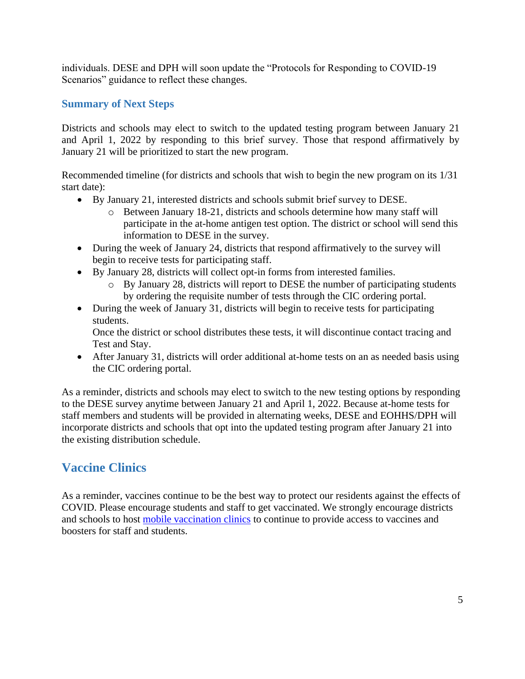individuals. DESE and DPH will soon update the "Protocols for Responding to COVID-19 Scenarios" guidance to reflect these changes.

#### **Summary of Next Steps**

Districts and schools may elect to switch to the updated testing program between January 21 and April 1, 2022 by responding to this brief survey. Those that respond affirmatively by January 21 will be prioritized to start the new program.

Recommended timeline (for districts and schools that wish to begin the new program on its 1/31 start date):

- By January 21, interested districts and schools submit brief survey to DESE.
	- o Between January 18-21, districts and schools determine how many staff will participate in the at-home antigen test option. The district or school will send this information to DESE in the survey.
- During the week of January 24, districts that respond affirmatively to the survey will begin to receive tests for participating staff.
- By January 28, districts will collect opt-in forms from interested families.
	- o By January 28, districts will report to DESE the number of participating students by ordering the requisite number of tests through the CIC ordering portal.
- During the week of January 31, districts will begin to receive tests for participating students.

Once the district or school distributes these tests, it will discontinue contact tracing and Test and Stay.

• After January 31, districts will order additional at-home tests on an as needed basis using the CIC ordering portal.

As a reminder, districts and schools may elect to switch to the new testing options by responding to the DESE survey anytime between January 21 and April 1, 2022. Because at-home tests for staff members and students will be provided in alternating weeks, DESE and EOHHS/DPH will incorporate districts and schools that opt into the updated testing program after January 21 into the existing distribution schedule.

## **Vaccine Clinics**

As a reminder, vaccines continue to be the best way to protect our residents against the effects of COVID. Please encourage students and staff to get vaccinated. We strongly encourage districts and schools to host [mobile vaccination clinics](http://mass.gov/mobilevaccineform) to continue to provide access to vaccines and boosters for staff and students.